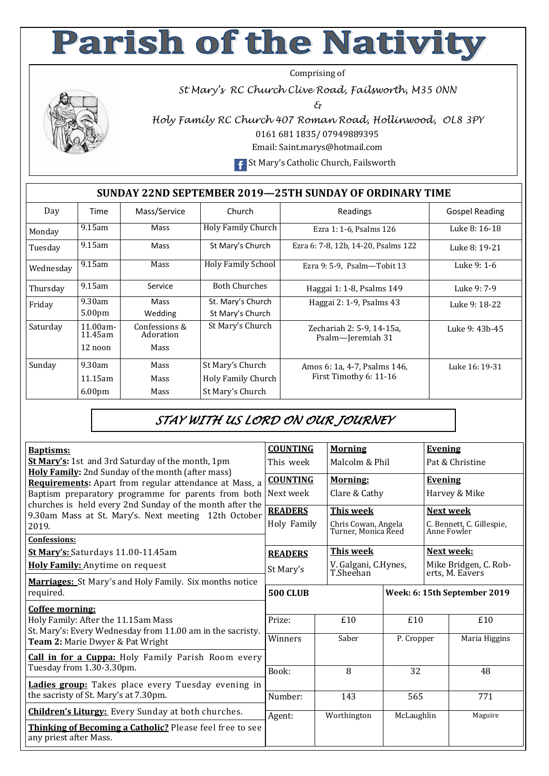## **Parish of the Nativity**

Comprising of

*St Mary's RC Church Clive Road, Failsworth, M35 0NN* 

*&* 



*Holy Family RC Church 407 Roman Road, Hollinwood, OL8 3PY*  0161 681 1835/ 07949889395

Email: Saint.marys@hotmail.com

**F** St Mary's Catholic Church, Failsworth

## **SUNDAY 22ND SEPTEMBER 2019—25TH SUNDAY OF ORDINARY TIME**

| Day       | Time                   | Mass/Service               | Church                    | Readings                                       | <b>Gospel Reading</b> |  |  |  |  |  |
|-----------|------------------------|----------------------------|---------------------------|------------------------------------------------|-----------------------|--|--|--|--|--|
| Monday    | $9.15$ am              | Mass                       | <b>Holy Family Church</b> | Ezra 1: 1-6, Psalms 126                        | Luke 8: 16-18         |  |  |  |  |  |
| Tuesday   | 9.15am                 | Mass                       | St Mary's Church          | Ezra 6: 7-8, 12b, 14-20, Psalms 122            | Luke 8: 19-21         |  |  |  |  |  |
| Wednesday | 9.15am                 | Mass                       | <b>Holy Family School</b> | Ezra 9: 5-9, Psalm-Tobit 13                    | Luke 9: 1-6           |  |  |  |  |  |
| Thursday  | $9.15$ am              | Service                    | <b>Both Churches</b>      | Haggai 1: 1-8, Psalms 149                      | Luke 9: 7-9           |  |  |  |  |  |
| Friday    | 9.30am                 | Mass                       | St. Mary's Church         | Haggai 2: 1-9, Psalms 43                       | Luke 9: 18-22         |  |  |  |  |  |
|           | 5.00 <sub>pm</sub>     | Wedding                    | St Mary's Church          |                                                |                       |  |  |  |  |  |
| Saturday  | $11.00am -$<br>11.45am | Confessions &<br>Adoration | St Mary's Church          | Zechariah 2: 5-9, 14-15a,<br>Psalm-Jeremiah 31 | Luke 9: 43b-45        |  |  |  |  |  |
|           | $12$ noon              | Mass                       |                           |                                                |                       |  |  |  |  |  |
| Sunday    | 9.30am                 | Mass                       | St Mary's Church          | Amos 6: 1a, 4-7, Psalms 146,                   | Luke 16: 19-31        |  |  |  |  |  |
|           | 11.15am                | Mass                       | Holy Family Church        | First Timothy 6: 11-16                         |                       |  |  |  |  |  |
|           | 6.00 <sub>pm</sub>     | Mass                       | St Mary's Church          |                                                |                       |  |  |  |  |  |

## *STAY WITH US LORD ON OUR JOURNEY*

| <b>Baptisms:</b>                                                                                                                                                          | <b>COUNTING</b>               | <b>Morning</b>                                          |                   | <b>Evening</b>                                        |                      |
|---------------------------------------------------------------------------------------------------------------------------------------------------------------------------|-------------------------------|---------------------------------------------------------|-------------------|-------------------------------------------------------|----------------------|
| <b>St Mary's:</b> 1st and 3rd Saturday of the month, 1pm                                                                                                                  | This week                     | Malcolm & Phil                                          |                   | Pat & Christine                                       |                      |
| <b>Holy Family:</b> 2nd Sunday of the month (after mass)<br>Requirements: Apart from regular attendance at Mass, a<br>Baptism preparatory programme for parents from both | <b>COUNTING</b><br>Next week  | Morning:<br>Clare & Cathy                               |                   | <b>Evening</b><br>Harvey & Mike                       |                      |
| churches is held every 2nd Sunday of the month after the<br>9.30am Mass at St. Mary's. Next meeting 12th October<br>2019.<br><b>Confessions:</b>                          | <b>READERS</b><br>Holy Family | This week<br>Chris Cowan, Angela<br>Turner, Monica Reed |                   | Next week<br>C. Bennett, C. Gillespie,<br>Anne Fowler |                      |
| St Mary's: Saturdays 11.00-11.45am                                                                                                                                        | <b>READERS</b>                | <b>This week</b>                                        |                   | <b>Next week:</b>                                     |                      |
| Holy Family: Anytime on request                                                                                                                                           | St Mary's                     | V. Galgani, C.Hynes,<br>T.Sheehan                       |                   | Mike Bridgen, C. Rob-<br>erts, M. Eavers              |                      |
| <b>Marriages:</b> St Mary's and Holy Family. Six months notice<br>required.                                                                                               | <b>500 CLUB</b>               | Week: 6: 15th September 2019                            |                   |                                                       |                      |
| Coffee morning:<br>Holy Family: After the 11.15am Mass<br>St. Mary's: Every Wednesday from 11.00 am in the sacristy.                                                      | Prize:<br>Winners             | £10<br>Saber                                            | £10<br>P. Cropper |                                                       | £10<br>Maria Higgins |
| Team 2: Marie Dwyer & Pat Wright<br><b>Call in for a Cuppa:</b> Holy Family Parish Room every                                                                             |                               |                                                         |                   |                                                       |                      |
| Tuesday from 1.30-3.30pm.                                                                                                                                                 | Book:                         | 8                                                       | 32                |                                                       | 48                   |
| Ladies group: Takes place every Tuesday evening in<br>the sacristy of St. Mary's at 7.30pm.                                                                               | Number:                       | 143                                                     | 565               |                                                       | 771                  |
| <b>Children's Liturgy:</b> Every Sunday at both churches.                                                                                                                 | Agent:                        | Worthington                                             | McLaughlin        |                                                       | Maguire              |
| Thinking of Becoming a Catholic? Please feel free to see<br>any priest after Mass.                                                                                        |                               |                                                         |                   |                                                       |                      |